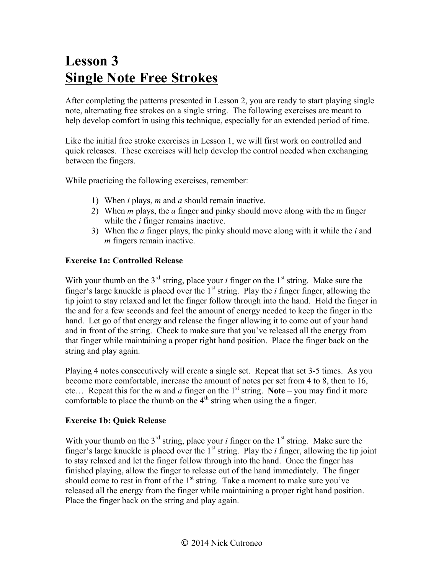# **Lesson 3 Single Note Free Strokes**

After completing the patterns presented in Lesson 2, you are ready to start playing single note, alternating free strokes on a single string. The following exercises are meant to help develop comfort in using this technique, especially for an extended period of time.

Like the initial free stroke exercises in Lesson 1, we will first work on controlled and quick releases. These exercises will help develop the control needed when exchanging between the fingers.

While practicing the following exercises, remember:

- 1) When *i* plays, *m* and *a* should remain inactive.
- 2) When *m* plays, the *a* finger and pinky should move along with the m finger while the *i* finger remains inactive.
- 3) When the *a* finger plays, the pinky should move along with it while the *i* and *m* fingers remain inactive.

### **Exercise 1a: Controlled Release**

With your thumb on the  $3<sup>rd</sup>$  string, place your *i* finger on the  $1<sup>st</sup>$  string. Make sure the finger's large knuckle is placed over the 1st string. Play the *i* finger finger, allowing the tip joint to stay relaxed and let the finger follow through into the hand. Hold the finger in the and for a few seconds and feel the amount of energy needed to keep the finger in the hand. Let go of that energy and release the finger allowing it to come out of your hand and in front of the string. Check to make sure that you've released all the energy from that finger while maintaining a proper right hand position. Place the finger back on the string and play again.

Playing 4 notes consecutively will create a single set. Repeat that set 3-5 times. As you become more comfortable, increase the amount of notes per set from 4 to 8, then to 16, etc... Repeat this for the *m* and *a* finger on the 1<sup>st</sup> string. **Note** – you may find it more comfortable to place the thumb on the  $4<sup>th</sup>$  string when using the a finger.

#### **Exercise 1b: Quick Release**

With your thumb on the  $3<sup>rd</sup>$  string, place your *i* finger on the  $1<sup>st</sup>$  string. Make sure the finger's large knuckle is placed over the  $1<sup>st</sup>$  string. Play the *i* finger, allowing the tip joint to stay relaxed and let the finger follow through into the hand. Once the finger has finished playing, allow the finger to release out of the hand immediately. The finger should come to rest in front of the  $1<sup>st</sup>$  string. Take a moment to make sure you've released all the energy from the finger while maintaining a proper right hand position. Place the finger back on the string and play again.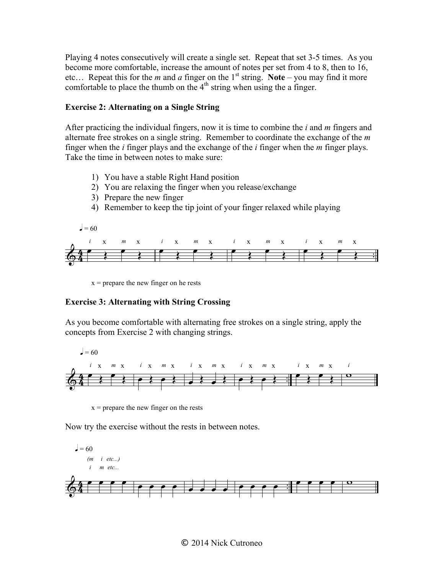Playing 4 notes consecutively will create a single set. Repeat that set 3-5 times. As you become more comfortable, increase the amount of notes per set from 4 to 8, then to 16, etc... Repeat this for the *m* and *a* finger on the 1<sup>st</sup> string. Note – you may find it more comfortable to place the thumb on the  $4<sup>th</sup>$  string when using the a finger. **Exercise 2: Alternating On A Single String** 

## **Exercise 2: Alternating on a Single String Exercise 2: Alternating On A Single String**

After practicing the individual fingers, now it is time to combine the  $i$  and  $m$  fingers and alternate free strokes on a single string. Remember to coordinate the exchange of the  $m$ finger when the  $i$  finger plays and the exchange of the  $i$  finger when the  $m$  finger plays. Take the time in between notes to make sure:

- 1) You have a stable Right Hand position.
- 2) You are relaxing the finger when you release/exchange
- 3) Prepare the new finger.



 $x =$  prepare the new finger on he rests  $\alpha = \alpha$ 

#### **Exercise 3: Alternating with String Crossing Exercise 3: Alternating with String Greec**

As you become comfortable with alternating free strokes on a single string, apply the concepts from Exercise 2 with changing strings. As you become comfortable with alternating free strokes on a single string, apply the concepts from the *s* content content of the *s* once the Exercise 2 with